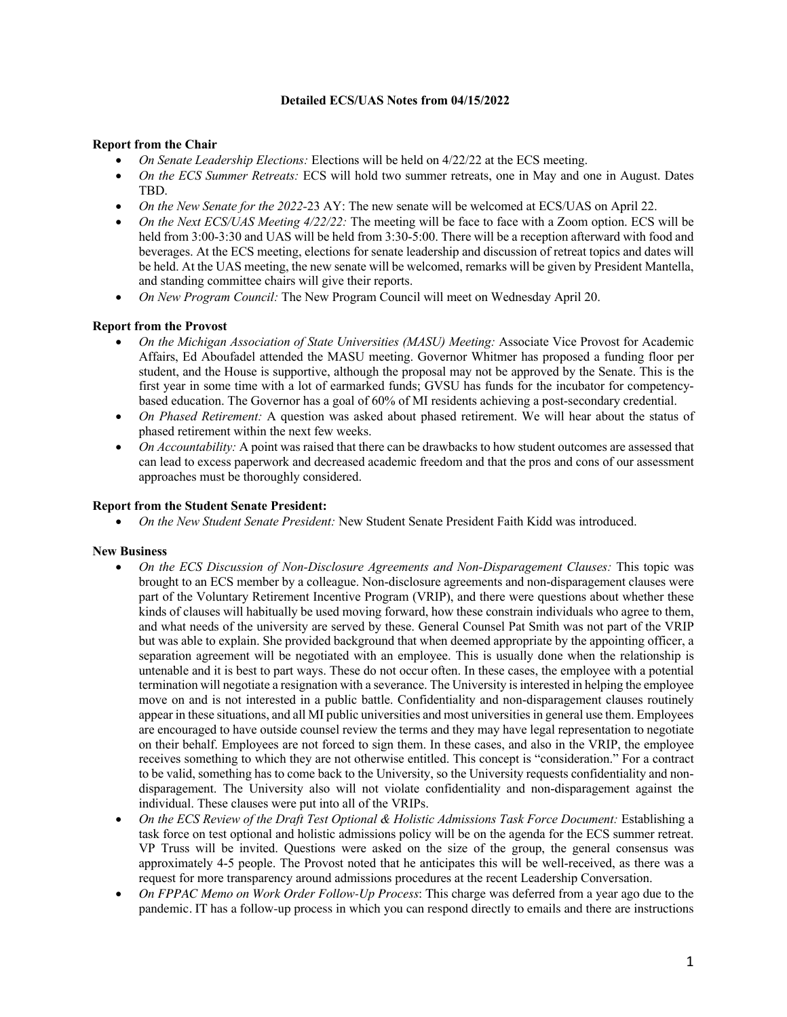# **Detailed ECS/UAS Notes from 04/15/2022**

# **Report from the Chair**

- *On Senate Leadership Elections:* Elections will be held on 4/22/22 at the ECS meeting.
- *On the ECS Summer Retreats:* ECS will hold two summer retreats, one in May and one in August. Dates TBD.
- *On the New Senate for the 2022-*23 AY: The new senate will be welcomed at ECS/UAS on April 22.
- *On the Next ECS/UAS Meeting 4/22/22:* The meeting will be face to face with a Zoom option. ECS will be held from 3:00-3:30 and UAS will be held from 3:30-5:00. There will be a reception afterward with food and beverages. At the ECS meeting, elections for senate leadership and discussion of retreat topics and dates will be held. At the UAS meeting, the new senate will be welcomed, remarks will be given by President Mantella, and standing committee chairs will give their reports.
- *On New Program Council:* The New Program Council will meet on Wednesday April 20.

## **Report from the Provost**

- *On the Michigan Association of State Universities (MASU) Meeting:* Associate Vice Provost for Academic Affairs, Ed Aboufadel attended the MASU meeting. Governor Whitmer has proposed a funding floor per student, and the House is supportive, although the proposal may not be approved by the Senate. This is the first year in some time with a lot of earmarked funds; GVSU has funds for the incubator for competencybased education. The Governor has a goal of 60% of MI residents achieving a post-secondary credential.
- *On Phased Retirement:* A question was asked about phased retirement. We will hear about the status of phased retirement within the next few weeks.
- *On Accountability:* A point was raised that there can be drawbacks to how student outcomes are assessed that can lead to excess paperwork and decreased academic freedom and that the pros and cons of our assessment approaches must be thoroughly considered.

### **Report from the Student Senate President:**

• *On the New Student Senate President:* New Student Senate President Faith Kidd was introduced.

#### **New Business**

- *On the ECS Discussion of Non-Disclosure Agreements and Non-Disparagement Clauses:* This topic was brought to an ECS member by a colleague. Non-disclosure agreements and non-disparagement clauses were part of the Voluntary Retirement Incentive Program (VRIP), and there were questions about whether these kinds of clauses will habitually be used moving forward, how these constrain individuals who agree to them, and what needs of the university are served by these. General Counsel Pat Smith was not part of the VRIP but was able to explain. She provided background that when deemed appropriate by the appointing officer, a separation agreement will be negotiated with an employee. This is usually done when the relationship is untenable and it is best to part ways. These do not occur often. In these cases, the employee with a potential termination will negotiate a resignation with a severance. The University is interested in helping the employee move on and is not interested in a public battle. Confidentiality and non-disparagement clauses routinely appear in these situations, and all MI public universities and most universities in general use them. Employees are encouraged to have outside counsel review the terms and they may have legal representation to negotiate on their behalf. Employees are not forced to sign them. In these cases, and also in the VRIP, the employee receives something to which they are not otherwise entitled. This concept is "consideration." For a contract to be valid, something has to come back to the University, so the University requests confidentiality and nondisparagement. The University also will not violate confidentiality and non-disparagement against the individual. These clauses were put into all of the VRIPs.
- *On the ECS Review of the Draft Test Optional & Holistic Admissions Task Force Document:* Establishing a task force on test optional and holistic admissions policy will be on the agenda for the ECS summer retreat. VP Truss will be invited. Questions were asked on the size of the group, the general consensus was approximately 4-5 people. The Provost noted that he anticipates this will be well-received, as there was a request for more transparency around admissions procedures at the recent Leadership Conversation.
- *On FPPAC Memo on Work Order Follow-Up Process*: This charge was deferred from a year ago due to the pandemic. IT has a follow-up process in which you can respond directly to emails and there are instructions